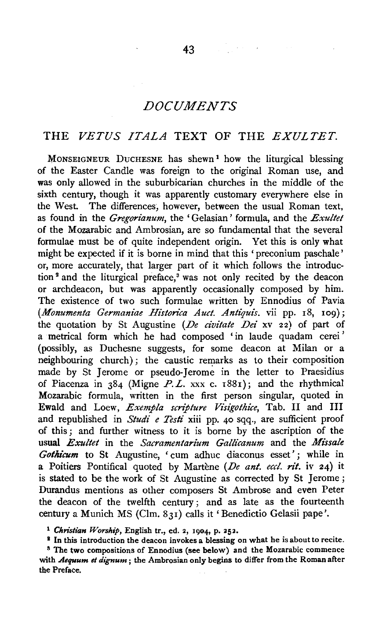# *DOCUMENTS*

### THE *VETUS ITALA* TEXT OF THE *EXULTET.*

MONSEIGNEUR DUCHESNE has shewn<sup>1</sup> how the liturgical blessing of the Easter Candle was foreign to the original Roman use, and was only allowed in the suburbicarian churches in the middle of the sixth century, though it was apparently customary everywhere else in the West. The differences, however, between the usual Roman text, as found in the *Gregorianum,* the 'Gelasian' formula, and the *Exultet*  of the Mozarabic and Ambrosian, are so fundamental that the several formulae must be of quite independent origin. Yet this is only what might be expected if it is borne in mind that this 'preconium paschale' or, more accurately, that larger part of it which follows the introduction<sup>2</sup> and the liturgical preface,<sup>3</sup> was not only recited by the deacon or archdeacon, but was apparently occasionally composed by him. The existence of two such formulae written by Ennodius of Pavia (Monumenta Germaniae Historica Auct. Antiquis. vii pp. 18, 109); the quotation by St Augustine *(De civitate Dei* xv 22) of part of a metrical form which he had composed 'in laude quadam cerei ' (possibly, as Duchesne suggests, for some deacon at Milan or a neighbouring church); the caustic remarks as to their composition made by St Jerome or pseudo-Jerome in the letter to Praesidius of Piacenza in  $384$  (Migne P.L. xxx c. 1881); and the rhythmical Mozarabic formula, written in the first person singular, quoted in Ewald and Loew, *Exempla scripture Visigothice*, Tab. II and III and republished in *Studi e Testi* xiii pp. 40 sqq., are sufficient proof of this ; and further witness to it is borne by the ascription of the usual *Exultet* in the *Sacramentarium Gallicanum* and the *Missale* Gothicum to St Augustine, ' cum adhuc diaconus esset'; while in a Poitiers Pontifical quoted by Martène (*De ant. eccl. rit.* iv 24) it is stated to be the work of St Augustine as corrected by St Jerome; Durandus mentions as other composers St Ambrose and even Peter the deacon of the twelfth century ; and as late as the fourteenth century a Munich MS (Clm. 831) calls it' Benedictio Gelasii pape'.

<sup>1</sup> Christian Worship, English tr., ed. 2, 1904, p. 252.<br>
<sup>2</sup> In this introduction the deacon invokes a blessing on what he is about to recite.<br>
<sup>3</sup> The two compositions of Ennodius (see below) and the Mozarabic commence

with *Aequum et dignum* ; the Ambrosian only begins to differ from the Roman after the Preface.

 $\alpha$  ,  $\alpha$  ,  $\alpha$  ,  $\alpha$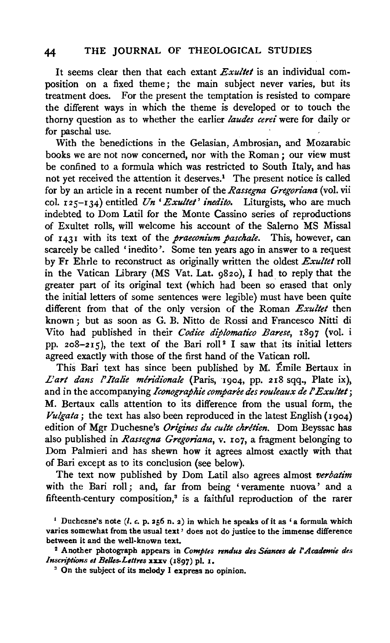It seems clear then that each extant *Exullet* is an individual composition on a fixed theme; the main subject never varies, but its treatment does. For the present the temptation is resisted to compare the different ways in which the theme is developed or to touch the thorny question as to whether the earlier *laudes cerei* were for daily or for paschal use.

With the benedictions in the Gelasian, Ambrosian, and Mozarabic books we are not now concerned, nor with the Roman *;* our view must be confined to a formula which was restricted to South Italy, and has not yet received the attention it deserves.<sup>1</sup> The present notice is called for by an article in a recent number of the *Rassegna Gregon'ana* (vol. vii col. 125-134) entitled *Un 'Exullet' inedito.* Liturgists, who are much indebted to Dom Latil for the Monte Cassino series of reproductions of Exultet rolls, will welcome his account of the Salerno MS Missal of 1431 with its text of the *praeconium pascha!e.* This, however, can scarcely be called 'inedito'. Some ten years ago in answer to a request by Fr Ehrle to reconstruct as originally written the oldest *Exu!let* roll in the Vatican Library (MS Vat. Lat. 982o), I had to reply that the greater part of its original text (which had been so erased that only the initial letters of some sentences were legible) must have been quite different from that of the only version of the Roman *Exultel* then known ; but as soon as G. B. Nitto de Rossi and Francesco Nitti di Vito had published in their *Codice diplomatico Barese,* r897 (vol. i pp.  $208-215$ , the text of the Bari roll<sup>2</sup> I saw that its initial letters agreed exactly with those of the first hand of the Vatican roll.

This Bari text has since been published by M. Emile Bertaux in L'art dans l'Italie méridionale (Paris, 1904, pp. 218 sqq., Plate ix), and in the accompanying *Iconographie comparee des rouleaux de l' Exultet;*  M. Bertaux calls attention to its difference from the usual form, the *Vulgata*; the text has also been reproduced in the latest English (1904) edition of Mgr Duchesne's *Origines du culte chrétien*. Dom Beyssac has also published in *Rassegna Gregoriana*, v. 107, a fragment belonging to Dom Palmieri and has shewn how it agrees almost exactly with that of Bari except as to its conclusion (see below).

The text now published by Dom Latil also agrees almost *verbatim*  with the Bari roll; and, far from being 'veramente nuova' and a fifteenth-century composition, $3$  is a faithful reproduction of the rarer

*Inscriptions et Belles.Lettres* xxxv (1897) pl. 1.<br><sup>3</sup> On the subject of its melody I express no opinion.

<sup>&</sup>lt;sup>1</sup> Duchesne's note  $(l, c, p, 256 n, 2)$  in which he speaks of it as 'a formula which varies somewhat from the usual text' does not do justice to the immense difference between it and the well-known text. 2 Another photograph appears in *Comptes rendus des Siances de* r *Academi'e des*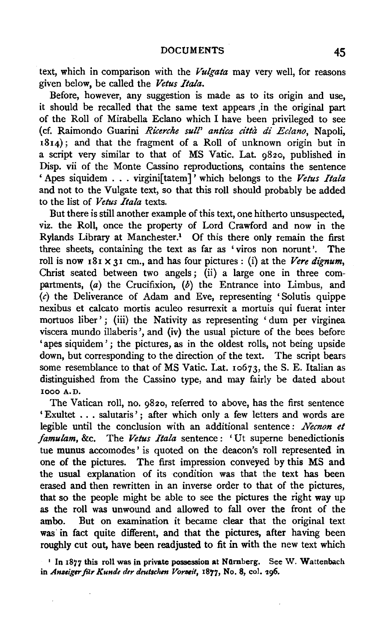text, which in comparison with the *Vulgata* may very well, for reasons given below, be called the *Vetus Itala.* 

Before, however, any suggestion is made as to its origin and use, it should be recalled that the same text appears ,in the original part of the Roll of Mirabella Eclano which I have been privileged to see (cf. Raimondo Guarini *Ricerche sull' antica citta di Eclano,* Napoli, 1814); and that the fragment of a Roll of unknown origin but in a script very similar to that of MS Vatic. Lat. g82o, published in Disp. vii of the Monte Cassino reproductions, contains the sentence 'Apes siquidem ... virgini[tatem]' which belongs to the *Vetus Itala*  and not to the Vulgate text, so that this roll should probably be added to the list of *Vetus Itala* texts.

But there is still another example of this text, one hitherto unsuspected, viz. the Roll, once the property of Lord Crawford and now in the Rylands Library at Manchester.1 Of this there only remain the first three sheets, containing the text as far as ' viros non norunt '. The roll is now  $181 \times 31$  cm., and has four pictures: (i) at the *Vere dignum*, Christ seated between two angels; (ii) a large one in three compartments,  $(a)$  the Crucifixion,  $(b)$  the Entrance into Limbus, and (c) the Deliverance of Adam and Eve, representing 'Solutis quippe nexibus et calcato mortis aculeo resurrexit a mortuis qui fuerat inter mortuos liber'; (iii) the Nativity as representing 'dum per virginea viscera mundo illaberis ', and (iv) the usual picture of the bees before 'apes siquidem'; the pictures, as in the oldest rolls, not being upside down, but corresponding to the direction of the text. The script bears some resemblance to that of MS Vatic. Lat. 10673, the S. E. Italian as distinguished from the Cassino type, and may fairly be dated about 1000 A.D.

The Vatican roll, no. g82o, referred to above, has the first sentence 'Exultet ... salutaris'; after which only a few letters and words are legible until the conclusion with an additional sentence: *Necnon et famulam,* &c. The *Vetus Itala* sentence: 'Ut superne benedictionis tue munus accomodes' is quoted on the deacon's roll represented in one of the pictures. The first impression conveyed by this MS and the usual explanation of its condition was that the text has been erased and then rewritten in an inverse order to that of the pictures, that so the people might be able to see the pictures the right way up as the roll was unwound and allowed to fall over the front of the ambo. But on examination it became clear that the original text was in fact quite different, and that the pictures, after having been roughly cut out, have been readjusted to fit in with the new text which

' In 1877 this roll was in private possession at NOmberg. See W. Wattenbach in *Anseiger für Kunde der deutschen Vorseit*, 1877, No. 8, col. 296.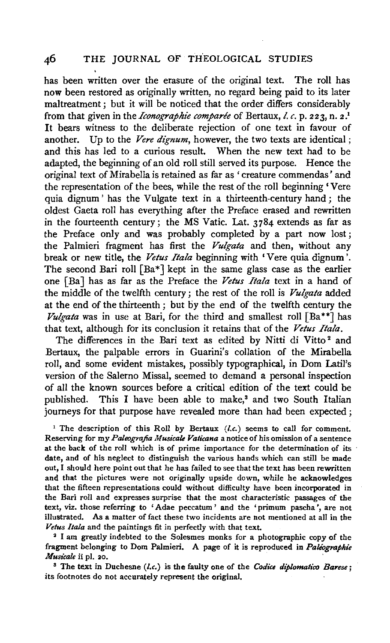has been written over the erasure of the original text. The roll has now been restored as originally written, no regard being paid to its later maltreatment ; but it will be noticed that the order differs considerably from that given in the *Iconographie comparée* of Bertaux, *l. c.* p. 223, n. 2.<sup>1</sup> It bears witness to the deliberate rejection of one text in favour of another. Up to the *Vere dignum,* however, the two texts are identical ; and this has led to a curious result. When the new text had to be adapted, the beginning of an old roll still served its purpose. Hence the original text of Mirabella is retained as far as ' creature commendas' and the representation of the bees, while the rest of the roll beginning 'Vere quia dignum' has the Vulgate text in a thirteenth-century hand; the oldest Gaeta roll has everything after the Preface erased and rewritten in the fourteenth century; the MS Vatic. Lat. 3784 extends as far as the Preface only and was probably completed by a part now lost; the Palmieri fragment has first the *Vulgata* and then, without any break or new title, the Vetus Itala beginning with 'Vere quia dignum'. The second Bari roll  $[Ba^*]$  kept in the same glass case as the earlier one [Ba] has as far as the Preface the *Vetus Itala* text in a hand of the middle of the twelfth century; the rest of the roll is *Vulgata* added at the end of the thirteenth ; but by the end of the twelfth century the *Vulgata* was in use at Bari, for the third and smallest roll [Ba\*\*] has that text, although for its conclusion it retains that of the *Vetus Itala.* 

The differences in the Bari text as edited by Nitti di Vitto<sup>2</sup> and Bertaux, the palpable errors in Guarini's collation of the Mirabella roll, and some evident mistakes, possibly typographical, in Dom Latil's version of the Salerno Missal, seemed to demand a personal inspection of all the known sources before a critical edition of the text could be published. This I have been able to make,<sup>8</sup> and two South Italian journeys for that purpose have revealed more than had been expected ;

<sup>1</sup> The description of this Roll by Bertaux *(l.c.)* seems to call for comment. Reserving for my *Paleografia Musicale Vaticana* a notice of his omission of a sentence at the back of the roll which is of prime importance for the determination of its date, and of his neglect to distinguish the various hands which can still be made out, I should here point out that he has failed to see that the text has been rewritten and that the pictures were not originally upside down, while he acknowledges that the fifteen representations could without difficulty have been incorporated in the Bari roll and expresses surprise that the most characteristic passages of the text, viz. those referring to 'Adae peccatum ' and the 'primum pascha ', are not illustrated. As a matter of fact these two incidents are not mentioned at all in the *Vetus Itala* and the paintings fit in perfectly with that text.<br><sup>2</sup> I am greatly indebted to the Solesmes monks for a photographic copy of the

Frame greatly interded to the Solesmes monks for a photographic copy of the speed of the state of  $P$  altographie 3 The text in Duchesne *(I.e.)* is the faulty one of the *Codice diplomatico Barese;* 

 $\frac{1}{2}$  in the text in Duchesite  $\{i, i\}$  is the lattice one of the original.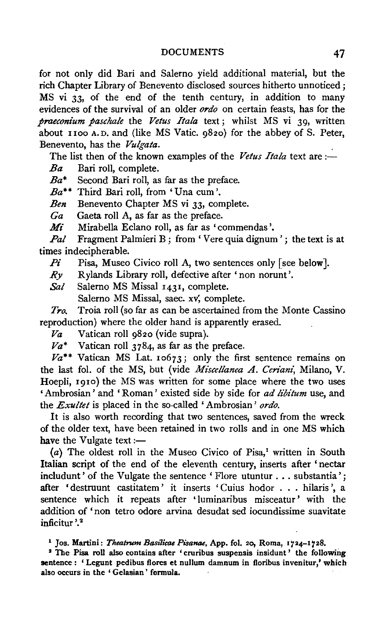#### DOCUMENTS 47

for not only did Bari and Salerno yield additional material, but the rich Chapter Library of Benevento disclosed sources hitherto unnoticed; MS vi 33, of the end of the tenth century, in addition to many evidences of the survival of an older *ordo* on certain feasts, has for the *praeconium paschale* the *Vetus Itala* text; whilst MS vi 39, written about 1100 A. D. and (like MS Vatic. 982o) for the abbey of S. Peter, Benevento, has the *Vulgata.* .

The list then of the known examples of the *Vetus Itala* text are :-

*Ba* Bari roll, complete.

*Ba\** Second Bari roll, as far as the preface.

*Ba\*\** Third Bari roll, from 'Una cum'.

*Ben* Benevento Chapter MS vi 33, complete.

*Ga* Gaeta roll A, as far as the preface.

*Mi* Mirabella Eclano roll, as far as 'commendas '.

*Pal* Fragment Palmieri B; from 'Vere quia dignum'; the text is at times indecipherable.

*Pi* Pisa, Museo Civico roll A, two sentences only [see below].

*.Ry* Rylands Library roll, defective after' non norunt'.

Sal Salerno MS Missal 1431, complete.

Salerno MS Missal, saec. xv; complete.

*Tro.* Troia roll (so far as can be ascertained from the Monte Cassino reproduction) where the older hand is apparently erased.

*Va* Vatican roll 9820 (vide supra).

 $Va^*$  Vatican roll 3784, as far as the preface.

 $Va^{**}$  Vatican MS Lat. 10673; only the first sentence remains on the last fol. of the MS, but (vide *Miscellanea A. Ceriani*, Milano, V. Hoepli, 1910) the MS was written for some place where the two uses 'Ambrosian ' and 'Roman ' existed side by side for *ad libitum* use, and the *Exultet* is placed in the so-called 'Ambrosian ' *ordo.* 

It is also worth recording that two sentences, saved from the wreck of the older text, have been retained in two rolls and in one MS which have the Vulgate text: $-$ 

 $(a)$  The oldest roll in the Museo Civico of Pisa,<sup>1</sup> written in South Italian script of the end of the eleventh century, inserts after 'nectar includunt' of the Vulgate the sentence 'Flore utuntur . . . substantia'; after 'destruunt castitatem' it inserts 'Cuius hodor . . . hilaris', a sentence which it repeats after 'luminaribus misceatur' with the addition of 'non tetro odore arvina desudat sed iocundissime suavitate inficitur '. 2

<sup>1</sup> Jos. Martini: *Theatrum Basilicae Pisanae*, App. fol. 20, Roma, 1724-1728.

<sup>2</sup> The Pisa roll also contains after 'cruribus suspensis insidunt' the following sentence : 'Legunt pedibus flores et nullum damnum in floribus invenitur,' which also occurs in the ' Gelasian ' formula.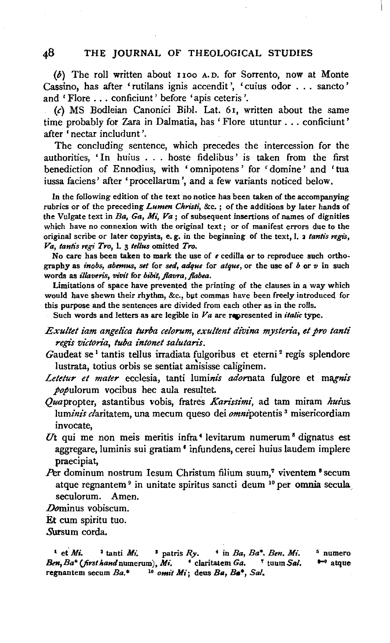(b) The roll written about r roo A. D. for Sorrento, now at Monte Cassino, has after 'rutilans ignis accendit', 'cuius odor . . . sancto' and 'Flore ... conficiunt' before 'apis ceteris'.

(c) MS Bodleian Canonici Bioi. Lat. 6r, written about the same time probably for Zara in Dalmatia, has ' Flore utuntur ... conficiunt ' after 'nectar includunt '.

The concluding sentence, which precedes the intercession for the authorities, 'In huius ... hoste fidelibus' is taken from the first benediction of Ennodius, with ' omnipotens ' for ' domine ' and 'tua iussa faciens' after 'procellarum', and a few variants noticed below.

In the following edition of the text no notice has been taken of the accompanying rubrics or of the preceding *Lumen Christi,* &c. ; of the additions by later hands of the Vulgate text in *Ba,* Ga, *Mi, Va* ; of subsequent insertions of names of dignities which have no connexion with the original text ; or of manifest errors due to the original scribe or later copyists, e.g. in the beginning of the text, I. a tantis regis, *V a, tantis* ngi *Tro,* I. 3 *tel/us* omitted *Tro.* 

No care has been taken to mark the use of *e* cedilla or to reproduce such orthography as *inohs, abemus, set* for *sed, adque* for *atque,* or the use of *b* or *v* in such words as *illaveris, vivit* for *bibit, jlavra, jlabea.* 

Limitations of space have prevented the printing of the clauses in a way which would have shewn their rhythm, &c., but commas have been freely introduced for this purpose and the sentences are divided from each other as in the rolls.

Such words and letters as are legible in  $Va$  are represented in *italic* type.

*Exultet iam angelica turba celorum, exultent divina mysteria, et pro tanti*  $r$ *egis victoria, tuba intonet salutaris.* 

Gaudeat se<sup>1</sup> tantis tellus irradiata fulgoribus et eterni<sup>2</sup> regis splendore lustrata, totius orbis se sentiat amisisse caliginem.

- Letetur et mater ecclesia, tanti luminis adornata fulgore et magnis *populorum* vocibus hec aula resultet.
- Quapropter, astantibus vobis, fratres *Karissimi*, ad tam miram *hui*us. *luminis* claritatem, una mecum queso dei omnipotentis 3 misericordiam invocate,
- *Ut* qui me non meis meritis infra 4 Ievitarum numerum 6 dignatus est aggregare, Iuminis sui gratiam 8 infundens, cerei huius Iaudem implere praecipiat,
- Per dominum nostrum Iesum Christum filium suum,<sup>7</sup> viventem <sup>8</sup> secum atque regnantem 9 in unitate spiritus sancti deum 10 per omnia secula seculorum. Amen.

Dominus vobiscum.

Et cum spiritu tuo.

Sursum corda.

<sup>1</sup> et *Mi.* <sup>2</sup> tanti *Mi*. <sup>2</sup> patris  $Ry$ . <sup>4</sup> in *Ba*, *Ba\**. *Ben. Mi. &n,Ba\* (firstltandnumerum), Mi.* ' claritatem Ga. T tuum Sal. regional *and military Barrier* Claricateur *Ca. Carl Ca. Carl Ca. Bat. Barrier Bat. Ca. Barrier Barrier Barrier Barrier Barrier Barrier Barrier Barrier Barrier Barrier Barrier Barrier Bar* 5 numero  $\rightarrow$  atque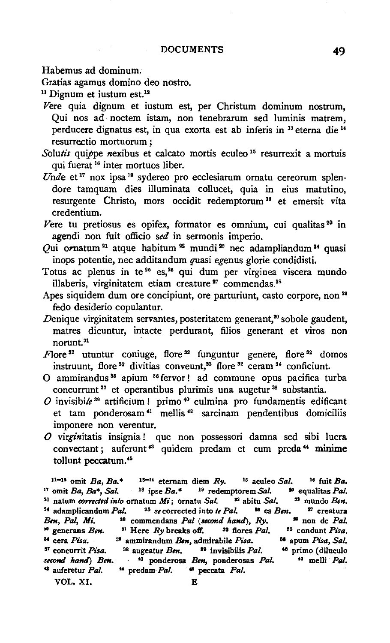Habemus ad dominum.

Gratias agamus domino deo nostro.<br><sup>11</sup> Dignum et iustum est.<sup>12</sup>

- *Vere* quia dignum et iustum est, per Christum dominum nostrum, Qui nos ad noctem istam, non tenebrarum sed luminis matrem, perducere dignatus est, in qua exorta est ab inferis in <sup>13</sup> eterna die <sup>14</sup> resurrectio mortuorum ;
- Solutis quippe nexibus et calcato mortis eculeo<sup>15</sup> resurrexit a mortuis qui fuerat 16 inter mortuos Iiber.
- *Unde* et<sup>17</sup> nox ipsa<sup>18</sup> sydereo pro ecclesiarum ornatu cereorum splendore tamquam dies illuminata collucet, quia in eius matutino, resurgente Christo, mors occidit redemptorum<sup>19</sup> et emersit vita credentium.
- Vere tu pretiosus es opifex, formator es omnium, cui qualitas  $20$  in agendi non fuit officio *sed* in sermonis imperio.
- Qui ornatum<sup>21</sup> atque habitum<sup>22</sup> mundi<sup>23</sup> nec adampliandum<sup>24</sup> quasi inops potentie, nee additandum quasi egenus glorie condidisti.
- Totus ac plenus in te<sup>25</sup> es,<sup>26</sup> qui dum per virginea viscera mundo illaberis, virginitatem etiam creature<sup>27</sup> commendas.<sup>28</sup>
- Apes siquidem dum ore concipiunt, ore parturiunt, casto corpore, non<sup>29</sup> fedo desiderio copulantur.
- Denique virginitatem servantes, posteritatem generant,<sup>30</sup> sobole gaudent, matres dicuntur, intacte perdurant, filios generant et viros non norunt. <sup>31</sup>
- $F$ lore<sup>32</sup> utuntur coniuge, flore<sup>32</sup> funguntur genere, flore<sup>32</sup> domos instruunt, flore<sup>32</sup> divitias conveunt,<sup>33</sup> flore<sup>32</sup> ceram<sup>34</sup> conficiunt.
- 0 ammirandus 35 apium 36 fervor ! ad commune opus pacifica turba concurrunt 87 et operantibus plurimis una augetur 38 substantia.
- $O$  invisibile<sup>39</sup> artificium ! primo<sup>40</sup> culmina pro fundamentis edificant et tam ponderosam<sup>41</sup> mellis<sup>42</sup> sarcinam pendentibus domiciliis imponere non verentur.
- *0* virginitatis insignia ! que non possessori damna sed sibi lucra convectant; auferunt 48 quidem predam et cum preda" minime tollunt peccatum.<sup>45</sup>

11-1<sup>2</sup> omit *Ba*, *Ba*<sup>\*</sup> <sup>15-14</sup> eternam diem *Ry*. <sup>15</sup> aculeo *Sal.* <sup>16</sup> fuit *Ba*. <sup>17</sup> omit *Ba*, *Ba*<sup>\*</sup>, *Sal.* <sup>18</sup> ipse *Ba*<sup>\*</sup> <sup>19</sup> redemptorem *Sal.* <sup>20</sup> equalitas *Pal.* <sup>21</sup> natum *corrected into* ornatum *Mi*; ornatu *Sal.* <sup>22</sup> abitu *Sal.* <sup>23</sup> mundo *Ben.* <sup>24</sup> adamplicandum Pal. <sup>25</sup> *se* corrected into *te Pal.* <sup>26</sup> es *Ben.* <sup>27</sup> creatura *Bm, Pal, Mi.* <sup>28</sup> commendans *Pal (second hand), Ry.* <sup>29</sup> non de *Pal.* <sup>36</sup> generans *Ben.* <sup>31</sup> Here *Ry* breaks off. <sup>33</sup> flores *Pal*. <sup>83</sup> condunt *Pisa*. *u* cera *Pisa.* ss ammirandum *&n,* admirabile *Pisa.* sa apum *Pisa, Sal.*  s• concurrit *Pisa.* S8 augeatur *Ben.* at invisibilis *Pal.* " primo ( diluculo second hand) Ben. <sup>41</sup> ponderosa Ben, ponderosas Pal. <sup>42</sup> melli Pal. <sup>43</sup> auferetur *Pal.* <sup>44</sup> predam *Pal.* <sup>45</sup> peccata *Pal.* VOL. XI. E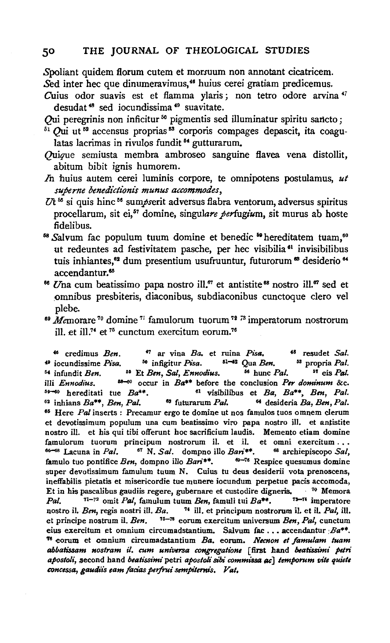Spoliant quidem fiorum cutem et morsuum non annotant cicatricem. Sed inter hec que dinumeravimus,<sup>46</sup> huius cerei gratiam predicemus.

Cuius odor suavis est et flamma ylaris; non tetro odore arvina <sup>47</sup> desudat 48 sed iocundissima 49 suavitate.

Qui peregrinis non inficitur<sup>50</sup> pigmentis sed illuminatur spiritu sancto;

- $51$  Qui ut  $53$  accensus proprias  $53$  corporis compages depascit, ita coagulatas lacrimas in rivulos fundit *54* gutturarum.
- Quique semiusta membra ambroseo sanguine fiavea vena distollit, abitum bibit ignis humorem.
- *In* huius autem cerei luminis corpore, te omnipotens postulamus, *ut*   $superne$  benedictionis munus accommodes,
- Vt 55 si quis hinc 58 *sumpserit* adversus flabra ventorum, adversus spiritus procellarum, sit ei,<sup>57</sup> domine, singulare perfugium, sit murus ab hoste fidelibus.<br><sup>68</sup> Salvum fac populum tuum domine et benedic <sup>59</sup> hereditatem tuam,<sup>60</sup>
- ut redeuntes ad festivitatem pasche, per hec visibilia<sup>61</sup> invisibilibus tuis inhiantes,<sup>62</sup> dum presentium usufruuntur, futurorum<sup>63</sup> desiderio<sup>64</sup> accendantur.<sup>65</sup>
- <sup>66</sup> Una cum beatissimo papa nostro ill.<sup>67</sup> et antistite <sup>68</sup> nostro ill.<sup>67</sup> sed et .omnibus presbiteris, diaconibus, subdiaconibus cunctoque clero vel plebe.<br><sup>69</sup> Memorare <sup>70</sup> domine <sup>71</sup> famulorum tuorum <sup>72</sup> <sup>73</sup> imperatorum nostrorum
- ill. et ill.<sup>74</sup> et <sup>75</sup> cunctum exercitum eorum.<sup>76</sup>

" credimus *Ben.* <sup>4</sup> 7 ar vina *Ba.* et ruina *Pisa. 48* resudet *Sal.*  <sup>49</sup> iocundissime *Pisa.* <sup>50</sup> infigitur *Pisa.* <sup>51-62</sup> Qua *Ben.* <sup>83</sup> propria Pal. •• infundit *Ben.* •• Et *Ben, Sal, Ennodius.* •• hunc *Pal.* •• eis *Pal.*  illi *Ennodius.* as-so occur in *Ba\*\** before the conclusion *Per dominum* &c. ••-oo hereditati tue *Ba\*\*.* 81 visibilibus et *Ba, Ba\*\*, Ben, Pal.* <sup>59–60</sup> hereditati tue  $Ba^{**}$ . <sup>61</sup> visibilibus et *Ba*,  $Ba^{**}$ , *Ben*, *Pal.* <sup>62</sup> inhians  $Ba^{**}$ , *Ben, Pal.* <sup>63</sup> futurarum *Pal.* <sup>64</sup> desideria *Ba, Ben, Pal.* •• Here *Pal* inserts : Precamur ergo te domine ut nos famulos tuos omnem clerum et de votissimum populum una cum beatissimo viro papa nostro j) , et anti-titation de viro papa nostro j nostro ill. et his qui tibi offerunt hoc sacrificium laudis. Memento etiam domine nuclear domine and the sacrificium laudis. Memento etiam domine and the sacrificium subsequent of the sacrificium subsequent of the sacrific famulorum tuorum principum nostrorum il. et il. et omni exercitum...<br><sup>66–68</sup> Lacuna in *Pal.* <sup>67</sup> N. *Sal*. dompno illo *Bari*<sup>\*\*</sup>. <sup>68</sup> archiepiscopo *Sal*, famulo tuo pontifice *Ben*, dompno illo Bari\*\*. <sup>69-76</sup> Respice quesumus domine  $\sum_{n=1}^{\infty}$ super devotissimum famulum  $\sum_{n=1}^{\infty}$  Cuius tu deus desiderii vota prenoscens, per devonssimum iamunum cuum iv. Cuius iu deus desiderit voia prenoscens, ineffabilis pietatis et misericordie tue munere iocundum perpetue pacis accomoda, Et in his pascalibus gaudiis regere, gubernare et custodire digneris. <sup>70</sup> Memora<br>*Pal.* <sup>71-72</sup> omit *Pal*, famulum tuum *Ben*, famuli tui  $Ba^{**}$ . <sup>73-74</sup> imperatore nostro il. *Ben*, regis nostri ill. *Ba.* <sup>74</sup> ill. et principum nostrorum *Ben*, regis nostri ill. *Ba.* <sup>74</sup> ill. et principum nostr nostro il. *Ben*, regis nostri ill. *Ba*. <sup>74</sup> ill. et principum nostrorum il. et il. *Pal*, ill. et principe nostrum il. *Ben.* <sup>75-76</sup> eorum exercitum universum *Ben*, *Pal*, cunctum principe nostrum il. *Ben.* <sup>19–16</sup> eorum exercitum universum *Ben, Pal*, cunctum<br>connectium et anglicum circumadaturium. Salvum fac ... accendantur *Pa*\*\*.  $T$ s exercitum et omnium circumadstantium, paivum iac...accendantur *pa*<sup>11</sup>. <sup>76</sup> corum et omnium circumadstantium Ba. eorum. Necnon et famulam tuam abbatissam nostram il. cum universa congregatione [first hand beatissimi petri apostoli, second hand beatissimi petri apostoli sibi commissa ac] temporum vite quiete<br>concessa, gaudiis eam facias perfrui sempiternis, Vat,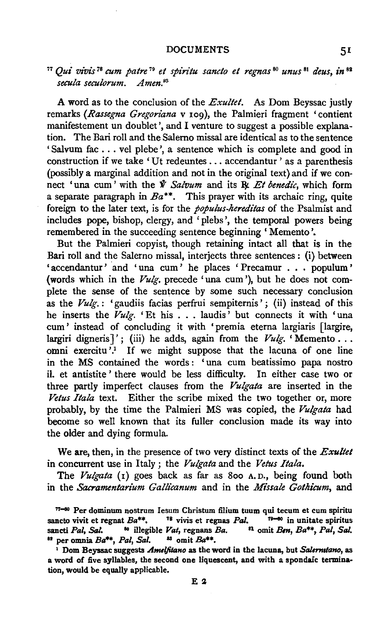#### DOCUMENTS 51

### <sup>77</sup>*Qui vivis* 7 <sup>8</sup>*cum patre* 79 *et spiritu sancto et regnas* 80 *unus* 81 *deus, in* <sup>82</sup> *secula seculorum. Amen.83*

A word as to the conclusion of the *Exultet.* As Dom Beyssac justly remarks *(.Rassegna Gregoriana* v 109), the Palmieri fragment 'contient manifestement un doublet', and I venture to suggest a possible explanation. The Bari roll and the Salemo missal are identical as to the sentence 'Salvum fac ... vel plebe ', a sentence which is complete and good in construction if we take 'Ut redeuntes ... accendantur' as a parenthesis (possibly a marginal addition and not in the original text) and if we connect 'una cum' with the *V Salvum* and its R<sub>k</sub> Et benedic, which form a separate paragraph in  $Ba^{**}$ . This prayer with its archaic ring, quite foreign to the later text, is for the *populus-hereditas* of the Psalmist and includes pope, bishop, clergy, and 'plebs', the temporal powers being remembered in the succeeding sentence beginning ' Memento'.

But the Palmieri copyist, though retaining intact all that is in the Bari roll and the Salerno missal, interjects three sentences: (i) between 'accendantur' and 'una cum' he places 'Precamur . . . populum' (words which in the *Vulg.* precede 'una cum'), but he does not complete the sense of the sentence by some such necessary conclusion as the *Vu/g.:* 'gaudiis facias perfrui sempiternis'; (ii) instead of this he inserts the *Vulg.* 'Et his . . . laudis' but connects it with 'una cum' instead of concluding it with 'premia eterna largiaris [largire, largiri digneris]'; (iii) he adds, again from the Vulg. 'Memento . . . omni exercitu<sup>7</sup>.<sup>1</sup> If we might suppose that the lacuna of one line in the MS contained the words : ' una cum beatissimo papa nostro il. et antistite ' there would be less difficulty. In either case two or three partly imperfect clauses from the *Vulgata* are inserted in the *Vetus Ita/a* text. Either the scribe mixed the two together or, more probably, by the time the Palmieri MS was copied, the *Vulgata* had become so well known that its fuller conclusion made its way into the older and dying formula.

We are, then, in the presence of two very distinct texts of the *Exultet*  in concurrent use in Italy; the *Vulgata* and the *Vetus Ita/a.* 

The *Vulgata* (1) goes back as far as 800 A.D., being found both in the *Sacramentarium Galli'canum* and in the *Missale Gothicum,* and

 $77-90$  Per dominum nostrum Iesum Christum filium tuum qui tecum et cum spiritu sancto vivit et regnat  $Ba^{**}$ . <sup>78</sup> vivis et regnas *Pal*. <sup>79–60</sup> in unitate spiritus sancti *Pal, Sal.* <sup>80</sup> illegible *Vat, regnans Ba.* <sup>81</sup> omit *Ben, Ba*<sup>\*\*</sup>, *Pal, Sal.* <sup>82</sup> per omnia Ba\*\*, Pal, Sal. <sup>83</sup> omit Ba\*\*.

<sup>1</sup>Dom Beyssac suggests *Amel}ilano* as the word in the lacuna, but *Salermtano,* as a word of five syllables, the second one liquescent, and with a spondaic termination, would be equally applicable.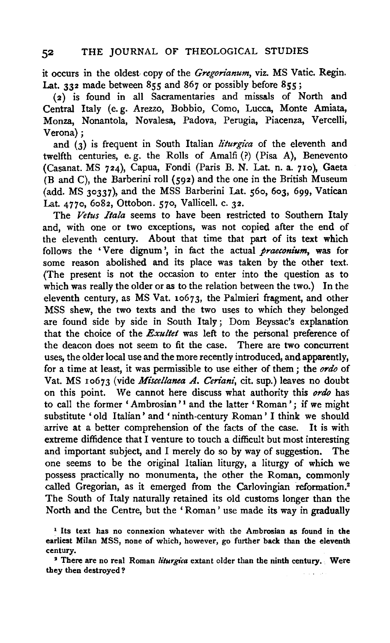it occurs in the oldest copy of the *Gregorianum,* viz. MS Vatic. Regin. Lat. 332 made between 855 and 867 or possibly before 855;

(2) is found in all Sacramentaries and missals of North and Central Italy (e. g. Arezzo, Bobbio, Como, Lucca, Monte Amiata, Monza, Nonantola, Novalesa, Padova, Perugia, Piacenza, Vercelli, Verona);

and (3) is frequent in South Italian *liturgica* of the eleventh and twelfth centuries, e. g. the Rolls of Amalfi (?) (Pisa A), Benevento (Casanat. MS 724), Capua, Fondi (Paris B. N. Lat. n. a. 710), Gaeta (B and C), the Barberini roll (592) and the one in the British Museum (add. MS 30337), and the MSS Barberini Lat. 56o, 6o3, 6gg, Vatican Lat. 4770, 6o82, Ottobon. 570, Vallicell. c. 32.

The *Vetus Itala* seems to have been restricted to Southern Italy and, with one or two exceptions, was not copied after the end of the eleventh century. About that time that part of its text which follows the 'Vere dignum', in fact the actual *praeconium*, was for some reason abolished and its place was taken by the other text. (The present is not the occasion to enter into the question as to which was really the older or as to the relation between the two.) In the eleventh century, as MS Vat. 10673, the Palmieri fragment, and other MSS shew, the two texts and the two uses to which they belonged are found side by side in South Italy; Dom Beyssac's explanation that the choice of the *Exultet* was left to the personal preference of the deacon does not seem to fit the case. There are two concurrent uses, the older local use and the more recently introduced, and apparently, for a time at least, it was permissible to use either of them ; the *ordo* of Vat. MS 10673 (vide *Miscellanea A. Ceriani,* cit. sup.) leaves no doubt on this point. We cannot here discuss what authority this *ordo* has to call the former 'Ambrosian'<sup>1</sup> and the latter 'Roman'; if we might substitute 'old Italian' and 'ninth-century Roman' I think we should arrive at a better comprehension of the facts of the case. It is with extreme diffidence that I venture to touch a difficult but most interesting and important subject, and I merely do so by way of suggestion. The one seems to be the original Italian liturgy, a liturgy of which we possess practically no monumenta, the other the Roman, commonly called Gregorian, as it emerged from the Carlovingian reformation.<sup>2</sup> The South of Italy naturally retained its old customs longer than the North and the Centre, but the 'Roman' use made its way in gradually

<sup>&</sup>lt;sup>1</sup> Its text has no connexion whatever with the Ambrosian as found in the earliest Milan MSS, none of which, however, go further back than the eleventh century.

<sup>&</sup>lt;sup>2</sup> There are no real Roman *liturgica* extant older than the ninth century. Were they then destroyed ?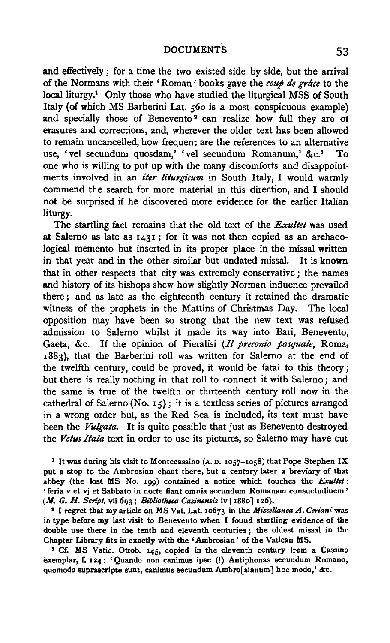and effectively ; for a time the two existed side by side, but the arrival of the Normans with their' Roman' books gave the *coup de grdce* to the local liturgy.<sup>1</sup> Only those who have studied the liturgical MSS of South Italy {of which MS Barberini Lat. 560 is a most conspicuous example) and specially those of Benevento<sup>2</sup> can realize how full they are of erasures and corrections, and, wherever the older text has been allowed to remain uncancelled, how frequent are the references to an alternative use, 'vel secundum quosdam,' 'vel secundum Romanum,' &c.8 To one who is willing to put up with the many discomforts and disappointments involved in an *iter liturgicum* in South Italy, I would warmly commend the search for more material in this direction, and I should not be surprised if he discovered more evidence for the earlier Italian liturgy.

The startling fact remains that the old text of the *Exultet* was used at Salerno as late as 1431; for it was not then copied as an archaeological memento but inserted in its proper place in the missal written in that year and in the other similar but undated missal. It is known that in other respects that city was extremely conservative ; the names and history of its bishops shew how slightly Norman influence prevailed there; and as late as the eighteenth century it retained the dramatic witness of the prophets in the Mattins of Christmas Day. The local opposition may have been so strong that the new text was refused admission to Salerno whilst it made its way into Bari, Benevento, Gaeta, &c. If the opinion of Pieralisi (*Il preconio pasquale*, Roma, x883), that the Barberini roll was written for Salerno at the end of the twelfth century, could be proved, it would be fatal to this theory ; but there is really nothing in that roll to connect it with Salerno ; and the same is true of the twelfth or thirteenth century roll now in the cathedral of Salerno (No. 15); it is a textless series of pictures arranged in a wrong order but, as the Red Sea is included, its text must have been the *Vulgata.* It is quite possible that just as Benevento destroyed the *Vetus Ita/a* text in order to use its pictures, so Salerno may have cut

<sup>1</sup> It was during his visit to Montecassino (A. D. 1057-1058) that Pope Stephen IX put a stop to the Ambrosian chant there, but a century later a breviary of that abbey (the lost MS No. 199) contained a notice which touches the *Exultet*: 'feria v et vj et Sabbato in nocte fiant omnia secundum Romanam consuetudinem' *(M. G. H. Script.* vii 693; *Bibli'otheca Casinensis* iv [188o] 126).

• I regret that my article on MS Vat. Lat. 1o673 in the *Miscellanea A. Ccriani* was in type before my last visit to Benevento when I found startling evidence of the double use there in the tenth and eleventh centuries ; the oldest missal in the Chapter Library fits in exactly with the 'Ambrosian' of the Vatican MS.

<sup>3</sup> Cf. MS Vatic. Ottob. 145, copied in the eleventh century from a Cassino exemplar, f. 124: 'Quando non canimus ipse (!) Antiphonas secundum Romano, quomodo suprascripte sunt, canimus secundum Ambro[sianum] hoc modo,' &c.